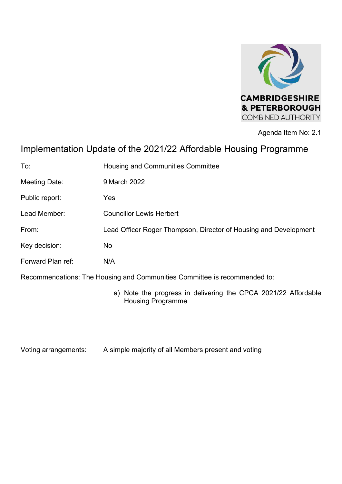

Agenda Item No: 2.1

# Implementation Update of the 2021/22 Affordable Housing Programme

| To:                                                                       | Housing and Communities Committee                                |
|---------------------------------------------------------------------------|------------------------------------------------------------------|
| <b>Meeting Date:</b>                                                      | 9 March 2022                                                     |
| Public report:                                                            | Yes                                                              |
| Lead Member:                                                              | <b>Councillor Lewis Herbert</b>                                  |
| From:                                                                     | Lead Officer Roger Thompson, Director of Housing and Development |
| Key decision:                                                             | No                                                               |
| Forward Plan ref:                                                         | N/A                                                              |
| Recommendations: The Housing and Communities Committee is recommended to: |                                                                  |
|                                                                           | a) Note the progress in delivering the CPCA 2021/22 Affordable   |

Voting arrangements: A simple majority of all Members present and voting

Housing Programme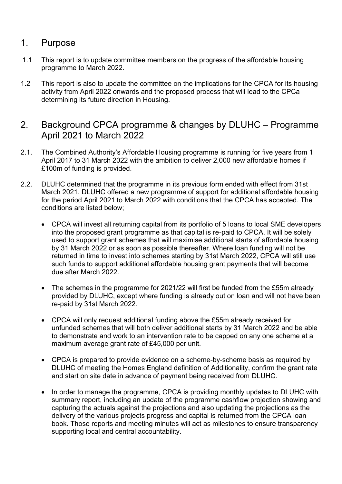### 1. Purpose

- 1.1 This report is to update committee members on the progress of the affordable housing programme to March 2022.
- 1.2 This report is also to update the committee on the implications for the CPCA for its housing activity from April 2022 onwards and the proposed process that will lead to the CPCa determining its future direction in Housing.
- 2. Background CPCA programme & changes by DLUHC Programme April 2021 to March 2022
- 2.1. The Combined Authority's Affordable Housing programme is running for five years from 1 April 2017 to 31 March 2022 with the ambition to deliver 2,000 new affordable homes if £100m of funding is provided.
- 2.2. DLUHC determined that the programme in its previous form ended with effect from 31st March 2021. DLUHC offered a new programme of support for additional affordable housing for the period April 2021 to March 2022 with conditions that the CPCA has accepted. The conditions are listed below;
	- CPCA will invest all returning capital from its portfolio of 5 loans to local SME developers into the proposed grant programme as that capital is re-paid to CPCA. It will be solely used to support grant schemes that will maximise additional starts of affordable housing by 31 March 2022 or as soon as possible thereafter. Where loan funding will not be returned in time to invest into schemes starting by 31st March 2022, CPCA will still use such funds to support additional affordable housing grant payments that will become due after March 2022.
	- The schemes in the programme for 2021/22 will first be funded from the £55m already provided by DLUHC, except where funding is already out on loan and will not have been re-paid by 31st March 2022.
	- CPCA will only request additional funding above the £55m already received for unfunded schemes that will both deliver additional starts by 31 March 2022 and be able to demonstrate and work to an intervention rate to be capped on any one scheme at a maximum average grant rate of £45,000 per unit.
	- CPCA is prepared to provide evidence on a scheme-by-scheme basis as required by DLUHC of meeting the Homes England definition of Additionality, confirm the grant rate and start on site date in advance of payment being received from DLUHC.
	- In order to manage the programme, CPCA is providing monthly updates to DLUHC with summary report, including an update of the programme cashflow projection showing and capturing the actuals against the projections and also updating the projections as the delivery of the various projects progress and capital is returned from the CPCA loan book. Those reports and meeting minutes will act as milestones to ensure transparency supporting local and central accountability.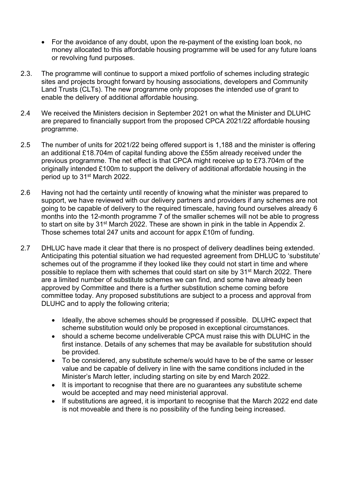- For the avoidance of any doubt, upon the re-payment of the existing loan book, no money allocated to this affordable housing programme will be used for any future loans or revolving fund purposes.
- 2.3. The programme will continue to support a mixed portfolio of schemes including strategic sites and projects brought forward by housing associations, developers and Community Land Trusts (CLTs). The new programme only proposes the intended use of grant to enable the delivery of additional affordable housing.
- 2.4 We received the Ministers decision in September 2021 on what the Minister and DLUHC are prepared to financially support from the proposed CPCA 2021/22 affordable housing programme.
- 2.5 The number of units for 2021/22 being offered support is 1,188 and the minister is offering an additional £18.704m of capital funding above the £55m already received under the previous programme. The net effect is that CPCA might receive up to £73.704m of the originally intended £100m to support the delivery of additional affordable housing in the period up to 31<sup>st</sup> March 2022.
- 2.6 Having not had the certainty until recently of knowing what the minister was prepared to support, we have reviewed with our delivery partners and providers if any schemes are not going to be capable of delivery to the required timescale, having found ourselves already 6 months into the 12-month programme 7 of the smaller schemes will not be able to progress to start on site by 31st March 2022. These are shown in pink in the table in Appendix 2. Those schemes total 247 units and account for appx £10m of funding.
- 2.7 DHLUC have made it clear that there is no prospect of delivery deadlines being extended. Anticipating this potential situation we had requested agreement from DHLUC to 'substitute' schemes out of the programme if they looked like they could not start in time and where possible to replace them with schemes that could start on site by 31<sup>st</sup> March 2022. There are a limited number of substitute schemes we can find, and some have already been approved by Committee and there is a further substitution scheme coming before committee today. Any proposed substitutions are subject to a process and approval from DLUHC and to apply the following criteria;
	- Ideally, the above schemes should be progressed if possible. DLUHC expect that scheme substitution would only be proposed in exceptional circumstances.
	- should a scheme become undeliverable CPCA must raise this with DLUHC in the first instance. Details of any schemes that may be available for substitution should be provided.
	- To be considered, any substitute scheme/s would have to be of the same or lesser value and be capable of delivery in line with the same conditions included in the Minister's March letter, including starting on site by end March 2022.
	- It is important to recognise that there are no guarantees any substitute scheme would be accepted and may need ministerial approval.
	- If substitutions are agreed, it is important to recognise that the March 2022 end date is not moveable and there is no possibility of the funding being increased.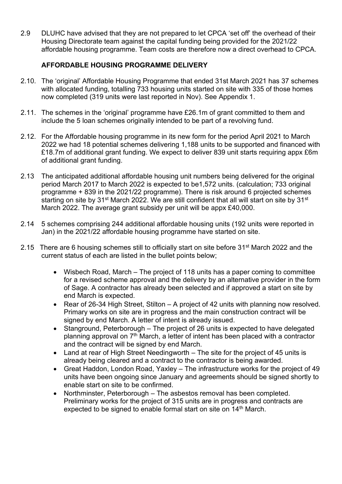2.9 DLUHC have advised that they are not prepared to let CPCA 'set off' the overhead of their Housing Directorate team against the capital funding being provided for the 2021/22 affordable housing programme. Team costs are therefore now a direct overhead to CPCA.

### **AFFORDABLE HOUSING PROGRAMME DELIVERY**

- 2.10. The 'original' Affordable Housing Programme that ended 31st March 2021 has 37 schemes with allocated funding, totalling 733 housing units started on site with 335 of those homes now completed (319 units were last reported in Nov). See Appendix 1.
- 2.11. The schemes in the 'original' programme have £26.1m of grant committed to them and include the 5 loan schemes originally intended to be part of a revolving fund.
- 2.12. For the Affordable housing programme in its new form for the period April 2021 to March 2022 we had 18 potential schemes delivering 1,188 units to be supported and financed with £18.7m of additional grant funding. We expect to deliver 839 unit starts requiring appx £6m of additional grant funding.
- 2.13 The anticipated additional affordable housing unit numbers being delivered for the original period March 2017 to March 2022 is expected to be1,572 units. (calculation; 733 original programme + 839 in the 2021/22 programme). There is risk around 6 projected schemes starting on site by 31<sup>st</sup> March 2022. We are still confident that all will start on site by 31<sup>st</sup> March 2022. The average grant subsidy per unit will be appx £40,000.
- 2.14 5 schemes comprising 244 additional affordable housing units (192 units were reported in Jan) in the 2021/22 affordable housing programme have started on site.
- 2.15 There are 6 housing schemes still to officially start on site before 31<sup>st</sup> March 2022 and the current status of each are listed in the bullet points below;
	- Wisbech Road, March The project of 118 units has a paper coming to committee for a revised scheme approval and the delivery by an alternative provider in the form of Sage. A contractor has already been selected and if approved a start on site by end March is expected.
	- Rear of 26-34 High Street, Stilton A project of 42 units with planning now resolved. Primary works on site are in progress and the main construction contract will be signed by end March. A letter of intent is already issued.
	- Stanground, Peterborough The project of 26 units is expected to have delegated planning approval on  $7<sup>th</sup>$  March, a letter of intent has been placed with a contractor and the contract will be signed by end March.
	- Land at rear of High Street Needingworth The site for the project of 45 units is already being cleared and a contract to the contractor is being awarded.
	- Great Haddon, London Road, Yaxley The infrastructure works for the project of 49 units have been ongoing since January and agreements should be signed shortly to enable start on site to be confirmed.
	- Northminster, Peterborough The asbestos removal has been completed. Preliminary works for the project of 315 units are in progress and contracts are expected to be signed to enable formal start on site on 14<sup>th</sup> March.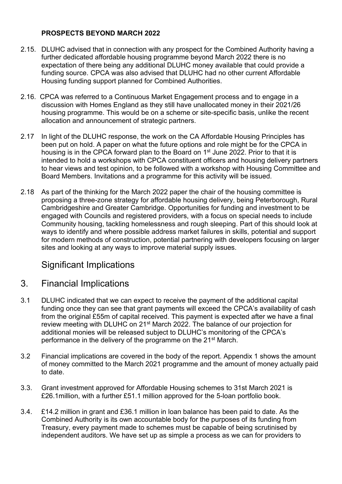### **PROSPECTS BEYOND MARCH 2022**

- 2.15. DLUHC advised that in connection with any prospect for the Combined Authority having a further dedicated affordable housing programme beyond March 2022 there is no expectation of there being any additional DLUHC money available that could provide a funding source. CPCA was also advised that DLUHC had no other current Affordable Housing funding support planned for Combined Authorities.
- 2.16. CPCA was referred to a Continuous Market Engagement process and to engage in a discussion with Homes England as they still have unallocated money in their 2021/26 housing programme. This would be on a scheme or site-specific basis, unlike the recent allocation and announcement of strategic partners.
- 2.17 In light of the DLUHC response, the work on the CA Affordable Housing Principles has been put on hold. A paper on what the future options and role might be for the CPCA in housing is in the CPCA forward plan to the Board on 1<sup>st</sup> June 2022. Prior to that it is intended to hold a workshops with CPCA constituent officers and housing delivery partners to hear views and test opinion, to be followed with a workshop with Housing Committee and Board Members. Invitations and a programme for this activity will be issued.
- 2.18 As part of the thinking for the March 2022 paper the chair of the housing committee is proposing a three-zone strategy for affordable housing delivery, being Peterborough, Rural Cambridgeshire and Greater Cambridge. Opportunities for funding and investment to be engaged with Councils and registered providers, with a focus on special needs to include Community housing, tackling homelessness and rough sleeping. Part of this should look at ways to identify and where possible address market failures in skills, potential and support for modern methods of construction, potential partnering with developers focusing on larger sites and looking at any ways to improve material supply issues.

## Significant Implications

### 3. Financial Implications

- 3.1 DLUHC indicated that we can expect to receive the payment of the additional capital funding once they can see that grant payments will exceed the CPCA's availability of cash from the original £55m of capital received. This payment is expected after we have a final review meeting with DLUHC on 21st March 2022. The balance of our projection for additional monies will be released subject to DLUHC's monitoring of the CPCA's performance in the delivery of the programme on the 21<sup>st</sup> March.
- 3.2 Financial implications are covered in the body of the report. Appendix 1 shows the amount of money committed to the March 2021 programme and the amount of money actually paid to date.
- 3.3. Grant investment approved for Affordable Housing schemes to 31st March 2021 is £26.1million, with a further £51.1 million approved for the 5-loan portfolio book.
- 3.4. £14.2 million in grant and £36.1 million in loan balance has been paid to date. As the Combined Authority is its own accountable body for the purposes of its funding from Treasury, every payment made to schemes must be capable of being scrutinised by independent auditors. We have set up as simple a process as we can for providers to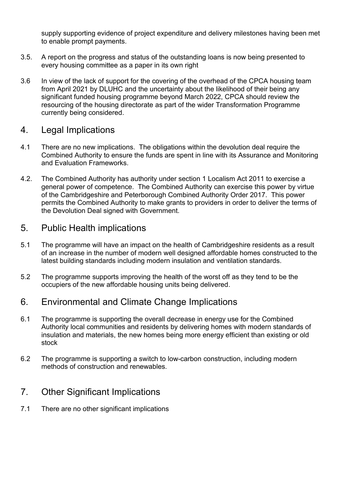supply supporting evidence of project expenditure and delivery milestones having been met to enable prompt payments.

- 3.5. A report on the progress and status of the outstanding loans is now being presented to every housing committee as a paper in its own right
- 3.6 In view of the lack of support for the covering of the overhead of the CPCA housing team from April 2021 by DLUHC and the uncertainty about the likelihood of their being any significant funded housing programme beyond March 2022, CPCA should review the resourcing of the housing directorate as part of the wider Transformation Programme currently being considered.

### 4. Legal Implications

- 4.1 There are no new implications. The obligations within the devolution deal require the Combined Authority to ensure the funds are spent in line with its Assurance and Monitoring and Evaluation Frameworks.
- 4.2. The Combined Authority has authority under section 1 Localism Act 2011 to exercise a general power of competence. The Combined Authority can exercise this power by virtue of the Cambridgeshire and Peterborough Combined Authority Order 2017. This power permits the Combined Authority to make grants to providers in order to deliver the terms of the Devolution Deal signed with Government.

### 5. Public Health implications

- 5.1 The programme will have an impact on the health of Cambridgeshire residents as a result of an increase in the number of modern well designed affordable homes constructed to the latest building standards including modern insulation and ventilation standards.
- 5.2 The programme supports improving the health of the worst off as they tend to be the occupiers of the new affordable housing units being delivered.

### 6. Environmental and Climate Change Implications

- 6.1 The programme is supporting the overall decrease in energy use for the Combined Authority local communities and residents by delivering homes with modern standards of insulation and materials, the new homes being more energy efficient than existing or old stock
- 6.2 The programme is supporting a switch to low-carbon construction, including modern methods of construction and renewables.

### 7. Other Significant Implications

7.1 There are no other significant implications